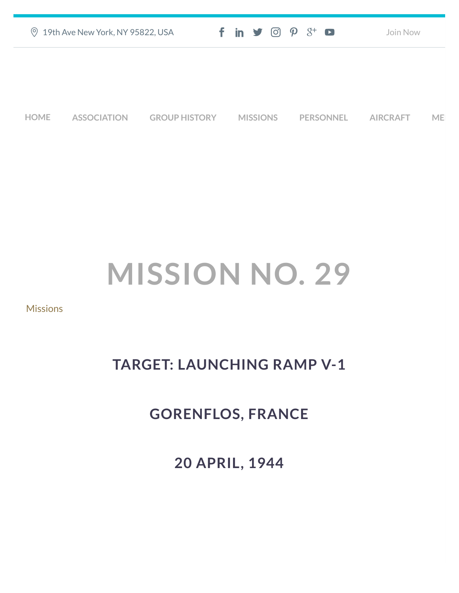| <b>9 19th Ave New York, NY 95822, USA</b> |                    |                      | $f$ in $\blacktriangleright$ $\odot$ $\varphi$ $3$ <sup>+</sup> $\blacksquare$ |                  | Join Now        |           |
|-------------------------------------------|--------------------|----------------------|--------------------------------------------------------------------------------|------------------|-----------------|-----------|
|                                           |                    |                      |                                                                                |                  |                 |           |
|                                           |                    |                      |                                                                                |                  |                 |           |
| <b>HOME</b>                               | <b>ASSOCIATION</b> | <b>GROUP HISTORY</b> | <b>MISSIONS</b>                                                                | <b>PERSONNEL</b> | <b>AIRCRAFT</b> | <b>ME</b> |

## **MISSION NO. 29**

## [Missions](https://457thbombgroupassoc.org/category/missions/)

## **TARGET: LAUNCHING RAMP V-1**

## **GORENFLOS, FRANCE**

**20 APRIL, 1944**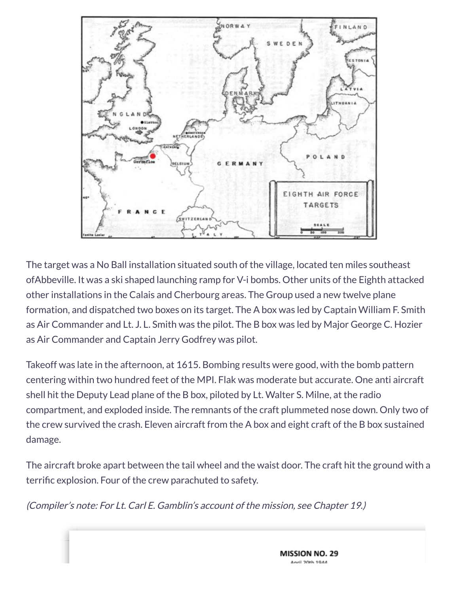

The target was a No Ball installation situated south of the village, located ten miles southeast ofAbbeville. It was a ski shaped launching ramp for V-i bombs. Other units of the Eighth attacked other installations in the Calais and Cherbourg areas. The Group used a new twelve plane formation, and dispatched two boxes on its target. The A box was led by Captain William F. Smith as Air Commander and Lt. J. L. Smith was the pilot. The B box was led by Major George C. Hozier as Air Commander and Captain Jerry Godfrey was pilot.

Takeoff was late in the afternoon, at 1615. Bombing results were good, with the bomb pattern centering within two hundred feet of the MPI. Flak was moderate but accurate. One anti aircraft shell hit the Deputy Lead plane of the B box, piloted by Lt. Walter S. Milne, at the radio compartment, and exploded inside. The remnants of the craft plummeted nose down. Only two of the crew survived the crash. Eleven aircraft from the A box and eight craft of the B box sustained damage.

The aircraft broke apart between the tail wheel and the waist door. The craft hit the ground with a terrific explosion. Four of the crew parachuted to safety.

(Compiler's note: For Lt. Carl E. Gamblin's account of the mission, see Chapter 19.)